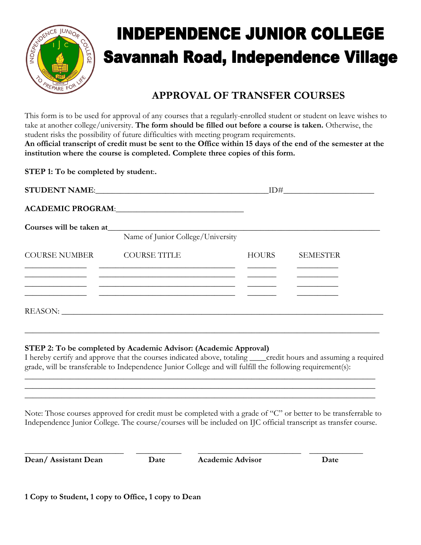

## **INDEPENDENCE JUNIOR COLLEGE Savannah Road, Independence Village**

## **APPROVAL OF TRANSFER COURSES**

This form is to be used for approval of any courses that a regularly-enrolled student or student on leave wishes to take at another college/university. **The form should be filled out before a course is taken.** Otherwise, the student risks the possibility of future difficulties with meeting program requirements. **An official transcript of credit must be sent to the Office within 15 days of the end of the semester at the institution where the course is completed. Complete three copies of this form.** 

**STEP 1: To be completed by student**:**.**

|                            | STUDENT NAME: THE RESERVE OF STUDENT NAME:  | ID#          |                 |
|----------------------------|---------------------------------------------|--------------|-----------------|
|                            | ACADEMIC PROGRAM: New York CADEMIC PROGRAM: |              |                 |
|                            | Name of Junior College/University           |              |                 |
| COURSE NUMBER COURSE TITLE |                                             | <b>HOURS</b> | <b>SEMESTER</b> |
| REASON:                    |                                             |              |                 |

## **STEP 2: To be completed by Academic Advisor: (Academic Approval)**

I hereby certify and approve that the courses indicated above, totaling \_\_\_\_credit hours and assuming a required grade, will be transferable to Independence Junior College and will fulfill the following requirement(s):

\_\_\_\_\_\_\_\_\_\_\_\_\_\_\_\_\_\_\_\_\_\_\_\_\_\_\_\_\_\_\_\_\_\_\_\_\_\_\_\_\_\_\_\_\_\_\_\_\_\_\_\_\_\_\_\_\_\_\_\_\_\_\_\_\_\_\_\_\_\_\_\_\_\_\_\_\_\_\_\_\_\_\_\_\_ \_\_\_\_\_\_\_\_\_\_\_\_\_\_\_\_\_\_\_\_\_\_\_\_\_\_\_\_\_\_\_\_\_\_\_\_\_\_\_\_\_\_\_\_\_\_\_\_\_\_\_\_\_\_\_\_\_\_\_\_\_\_\_\_\_\_\_\_\_\_\_\_\_\_\_\_\_\_\_\_\_\_\_\_\_ \_\_\_\_\_\_\_\_\_\_\_\_\_\_\_\_\_\_\_\_\_\_\_\_\_\_\_\_\_\_\_\_\_\_\_\_\_\_\_\_\_\_\_\_\_\_\_\_\_\_\_\_\_\_\_\_\_\_\_\_\_\_\_\_\_\_\_\_\_\_\_\_\_\_\_\_\_\_\_\_\_\_\_\_\_

**\_\_\_\_\_\_\_\_\_\_\_\_\_\_\_\_\_\_\_\_\_\_\_\_\_\_\_\_\_\_\_\_\_\_\_\_\_\_\_\_\_\_\_\_\_\_\_\_\_\_\_\_\_\_\_\_\_\_\_\_\_\_\_\_\_\_\_\_\_\_\_\_\_\_\_\_\_\_\_\_\_\_\_\_\_\_**

Note: Those courses approved for credit must be completed with a grade of "C" or better to be transferrable to Independence Junior College. The course/courses will be included on IJC official transcript as transfer course.

|  | Dean/Assistant Dean |  |
|--|---------------------|--|
|--|---------------------|--|

\_\_\_\_\_\_\_\_\_\_\_\_\_\_\_\_\_\_\_\_\_\_\_\_ \_\_\_\_\_\_\_\_\_\_\_ \_\_\_\_\_\_\_\_\_\_\_\_\_\_\_\_\_\_\_\_\_\_\_\_\_ \_\_\_\_\_\_\_\_\_\_\_\_\_

**Dean/ Assistant Dean Date Academic Advisor Date**

**1 Copy to Student, 1 copy to Office, 1 copy to Dean**